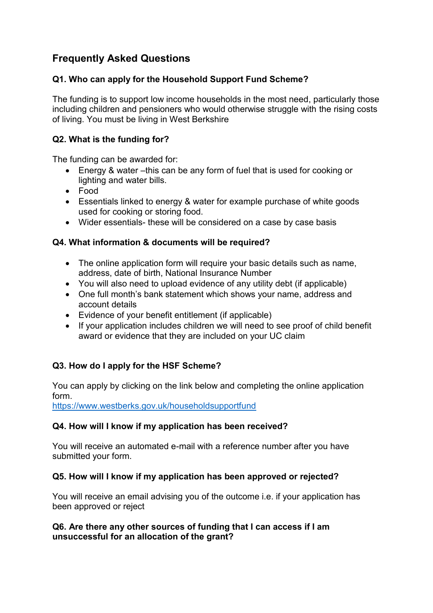# **Frequently Asked Questions**

# **Q1. Who can apply for the Household Support Fund Scheme?**

The funding is to support low income households in the most need, particularly those including children and pensioners who would otherwise struggle with the rising costs of living. You must be living in West Berkshire

# **Q2. What is the funding for?**

The funding can be awarded for:

- Energy & water –this can be any form of fuel that is used for cooking or lighting and water bills.
- Food
- Essentials linked to energy & water for example purchase of white goods used for cooking or storing food.
- Wider essentials- these will be considered on a case by case basis

## **Q4. What information & documents will be required?**

- The online application form will require your basic details such as name, address, date of birth, National Insurance Number
- You will also need to upload evidence of any utility debt (if applicable)
- One full month's bank statement which shows your name, address and account details
- Evidence of your benefit entitlement (if applicable)
- If your application includes children we will need to see proof of child benefit award or evidence that they are included on your UC claim

## **Q3. How do I apply for the HSF Scheme?**

You can apply by clicking on the link below and completing the online application form.

<https://www.westberks.gov.uk/householdsupportfund>

## **Q4. How will I know if my application has been received?**

You will receive an automated e-mail with a reference number after you have submitted your form.

#### **Q5. How will I know if my application has been approved or rejected?**

You will receive an email advising you of the outcome i.e. if your application has been approved or reject

#### **Q6. Are there any other sources of funding that I can access if I am unsuccessful for an allocation of the grant?**